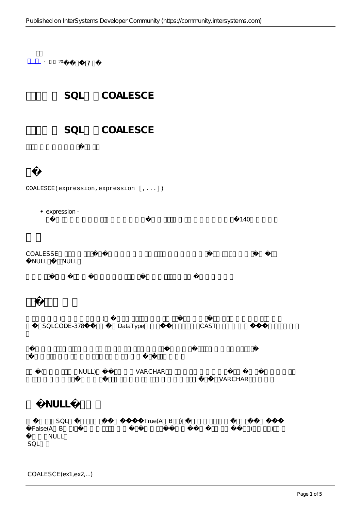

## COALESCE(expression,expression [,...])

expression -  $140$ 

COALESSE NULL, NULL



( NULL) VARCHAR VARCHAR

## **比较NULL处理函数**

SQL<br>R B ) True(A B ) () False(A B ) 较中指定NULL。 SQL函数

COALESCE(ex1,ex2,...)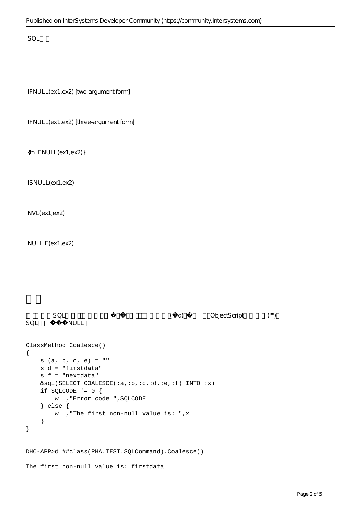$SOL$ 

IFNULL(ex1,ex2) [two-argument form]

IFNULL(ex1,ex2) [three-argument form]

{fn IFNULL(ex1,ex2)}

ISNULL(ex1,ex2)

NVL(ex1,ex2)

NULLIF(ex1,ex2)

```
SQL (d) ObjectScript ( d)
SOL NULL
ClassMethod Coalesce()
{
    s (a, b, c, e) = ""
    s d = "firstdata"
    s f = "nextdata"
    &sql(SELECT COALESCE(:a,:b,:c,:d,:e,:f) INTO :x)
   if SQLCODE != 0 {
        w !,"Error code ",SQLCODE 
    } else {
        w !,"The first non-null value is: ",x 
    }
}
DHC-APP>d ##class(PHA.TEST.SQLCommand).Coalesce()
The first non-null value is: firstdata
```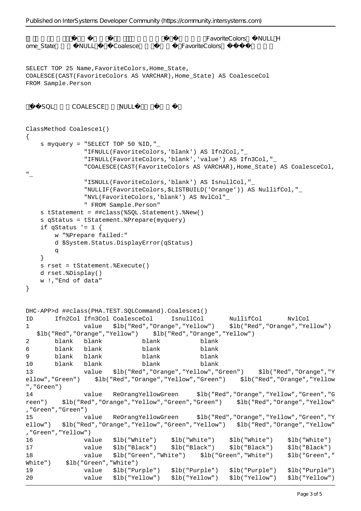```
Published on InterSystems Developer Community (https://community.intersystems.com)
                                           FavoriteColors NULL; H
ome_State MULL Coalesce FavoriteColors
SELECT TOP 25 Name, FavoriteColors, Home State,
COALESCE(CAST(FavoriteColors AS VARCHAR),Home_State) AS CoalesceCol
FROM Sample.Person
   SQL COALESCE NULL
ClassMethod Coalesce1()
{
    s myquery = "SELECT TOP 50 %ID,"_
               "IFNULL(FavoriteColors,'blank') AS Ifn2Col,"_
               "IFNULL(FavoriteColors,'blank','value') AS Ifn3Col,"_
               "COALESCE(CAST(FavoriteColors AS VARCHAR),Home_State) AS CoalesceCol,
"_
               "ISNULL(FavoriteColors,'blank') AS IsnullCol,"_
               "NULLIF(FavoriteColors,$LISTBUILD('Orange')) AS NullifCol,"_
               "NVL(FavoriteColors,'blank') AS NvlCol"_
               " FROM Sample.Person"
    s tStatement = ##class(%SQL.Statement).%New()
    s qStatus = tStatement.%Prepare(myquery)
   if qStatus != 1 {
       w "%Prepare failed:" 
        d $System.Status.DisplayError(qStatus) 
q
    }
    s rset = tStatement.%Execute()
    d rset.%Display()
    w !,"End of data"
}
DHC-APP>d ##class(PHA.TEST.SQLCommand).Coalesce1()
ID Ifn2Col Ifn3Col CoalesceCol IsnullCol NullifCol NvlCol
1 value $lb("Red","Orange","Yellow") $lb("Red","Orange","Yellow") 
   $lb("Red","Orange","Yellow") $lb("Red","Orange","Yellow")
2 blank blank blank blank
6 blank blank blank blank
9 blank blank blank blank
10 blank blank blank blank
13 value $lb("Red","Orange","Yellow","Green") $lb("Red","Orange","Y
ellow","Green") $lb("Red","Orange","Yellow","Green") $lb("Red","Orange","Yellow
","Green")
14 value ReOrangYellowGreen $lb("Red","Orange","Yellow","Green","G
reen") $lb("Red","Orange","Yellow","Green","Green") $lb("Red","Orange","Yellow"
,"Green","Green")
15 value ReOrangYellowGreen $lb("Red","Orange","Yellow","Green","Y
ellow") $lb("Red","Orange","Yellow","Green","Yellow") $lb("Red","Orange","Yellow"
,"Green","Yellow")
16 value $lb("White") $lb("White") $lb("White") $lb("White")
17 value $lb("Black") $lb("Black") $lb("Black") $lb("Black")
18 value $lb("Green","White") $lb("Green","White") $lb("Green","
White") $lb("Green","White")
19 value $lb("Purple") $lb("Purple") $lb("Purple") $lb("Purple")
20 value $lb("Yellow") $lb("Yellow") $lb("Yellow") $lb("Yellow")
```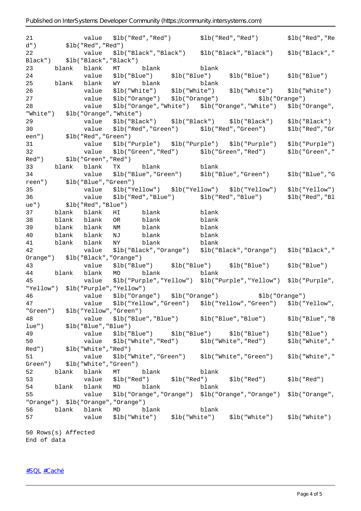| 21     |                     |                                   |                         |                               |       |       | value    \$lb("Red","Red")           \$lb("Red","Red")           \$lb("Red","Re |                |
|--------|---------------------|-----------------------------------|-------------------------|-------------------------------|-------|-------|---------------------------------------------------------------------------------|----------------|
| $d$ ") |                     |                                   | \$lb("Red","Red")       |                               |       |       |                                                                                 |                |
| 22     |                     |                                   |                         |                               |       |       | value \$lb("Black","Black") \$lb("Black","Black") \$lb("Black","                |                |
|        |                     | Black") $$1b("Black", "Black")$   |                         |                               |       |       |                                                                                 |                |
| 23     |                     |                                   |                         | blank blank MT blank          |       | blank |                                                                                 |                |
| 24     |                     |                                   |                         |                               |       |       | value \$lb("Blue") \$lb("Blue") \$lb("Blue")                                    | \$lb("Blue")   |
| 25     | blank               |                                   |                         | blank WY blank blank          |       |       |                                                                                 |                |
| 26     |                     |                                   |                         |                               |       |       | value \$lb("White") \$lb("White") \$lb("White") \$lb("White")                   |                |
| 27     |                     |                                   |                         |                               |       |       | value \$lb("Orange") \$lb("Orange") \$lb("Orange")                              |                |
| 28     |                     | value                             |                         |                               |       |       | \$lb("Orange","White") \$lb("Orange","White") \$lb("Orange",                    |                |
|        |                     | "White") \$1b("Orange","White")   |                         |                               |       |       |                                                                                 |                |
| 29     |                     |                                   |                         |                               |       |       | value \$lb("Black") \$lb("Black") \$lb("Black") \$lb("Black")                   |                |
| 30     |                     | value                             |                         |                               |       |       |                                                                                 | \$lb("Red","Gr |
|        |                     |                                   |                         |                               |       |       |                                                                                 |                |
| 31     |                     |                                   |                         |                               |       |       | value \$lb("Purple") \$lb("Purple") \$lb("Purple") \$lb("Purple")               |                |
| 32     |                     |                                   |                         |                               |       |       | value \$lb("Green","Red") \$lb("Green","Red") \$lb("Green","                    |                |
|        |                     | Red") $$1b("Green", "Red")$       |                         |                               |       |       |                                                                                 |                |
| 33     | blank               |                                   |                         | blank TX blank blank          |       |       |                                                                                 |                |
| 34     |                     |                                   |                         |                               |       |       | value \$lb("Blue","Green") \$lb("Blue","Green") \$lb("Blue","G                  |                |
|        |                     |                                   |                         |                               |       |       |                                                                                 |                |
| 35     |                     |                                   |                         |                               |       |       | value \$lb("Yellow") \$lb("Yellow") \$lb("Yellow") \$lb("Yellow")               |                |
| 36     |                     |                                   |                         |                               |       |       |                                                                                 | \$lb("Red","Bl |
|        |                     | $ue")$ $$1b("Red", "Blue")$       |                         |                               |       |       |                                                                                 |                |
| 37     |                     |                                   | blank blank HI blank    |                               | blank |       |                                                                                 |                |
| 38     |                     |                                   | blank blank OR<br>blank |                               | blank |       |                                                                                 |                |
| 39     | blank blank         |                                   | NM                      | blank                         |       | blank |                                                                                 |                |
| 40     | blank blank         |                                   | NJ                      | blank                         |       | blank |                                                                                 |                |
| 41     | blank blank         |                                   | NY blank                |                               | blank |       |                                                                                 |                |
| 42     |                     |                                   |                         |                               |       |       | value \$lb("Black","Orange") \$lb("Black","Orange") \$lb("Black","              |                |
|        |                     | Orange") \$1b("Black","Orange")   |                         |                               |       |       |                                                                                 |                |
| 43     |                     |                                   |                         |                               |       |       | value $$1b("Blue")$ $$1b("Blue")$ $$1b("Blue")$                                 | \$1b("Blue")   |
|        |                     |                                   |                         | 44 blank blank MO blank blank |       |       |                                                                                 |                |
| 45     |                     |                                   |                         |                               |       |       | value \$lb("Purple","Yellow") \$lb("Purple","Yellow") \$lb("Purple",            |                |
|        |                     | "Yellow") \$lb("Purple","Yellow") |                         |                               |       |       |                                                                                 |                |
| 46     |                     |                                   |                         |                               |       |       | value \$lb("Orange") \$lb("Orange") \$lb("Orange")                              |                |
| 47     |                     |                                   |                         |                               |       |       | value \$lb("Yellow","Green") \$lb("Yellow","Green") \$lb("Yellow",              |                |
|        |                     | "Green") \$lb("Yellow","Green")   |                         |                               |       |       |                                                                                 |                |
| 48     |                     |                                   |                         |                               |       |       |                                                                                 | \$lb("Blue","B |
|        |                     | $lue")$ $$lb("Blue", "Blue")$     |                         |                               |       |       |                                                                                 |                |
| 49     |                     |                                   |                         |                               |       |       | value $$1b("Blue")$ $$1b("Blue")$ $$1b("Blue")$ $$1b("Blue")$                   |                |
| 50     |                     |                                   |                         |                               |       |       | value \$lb("White","Red") \$lb("White","Red") \$lb("White","                    |                |
|        |                     | Red") $$1b("White", "Red")$       |                         |                               |       |       |                                                                                 |                |
| 51     |                     |                                   |                         |                               |       |       | value \$lb("White","Green") \$lb("White","Green") \$lb("White","                |                |
|        |                     | Green") \$1b("White","Green")     |                         |                               |       |       |                                                                                 |                |
| 52     |                     | blank blank MT                    |                         | blank                         |       | blank |                                                                                 |                |
| 53     |                     |                                   |                         |                               |       |       | value \$lb("Red") \$lb("Red") \$lb("Red") \$lb("Red")                           |                |
| 54     |                     |                                   |                         | blank blank MD blank blank    |       |       |                                                                                 |                |
| 55     |                     |                                   |                         |                               |       |       | value \$lb("Orange","Orange") \$lb("Orange","Orange") \$lb("Orange",            |                |
|        |                     | "Orange") \$lb("Orange","Orange") |                         |                               |       |       |                                                                                 |                |
| 56     |                     | blank blank MD blank              |                         |                               |       | blank |                                                                                 |                |
| 57     |                     |                                   |                         |                               |       |       | value \$lb("White") \$lb("White") \$lb("White") \$lb("White")                   |                |
|        | 50 Rows(s) Affected |                                   |                         |                               |       |       |                                                                                 |                |

End of data

[#SQL](https://cn.community.intersystems.com/tags/sql) [#Caché](https://cn.community.intersystems.com/tags/cach%C3%A9)